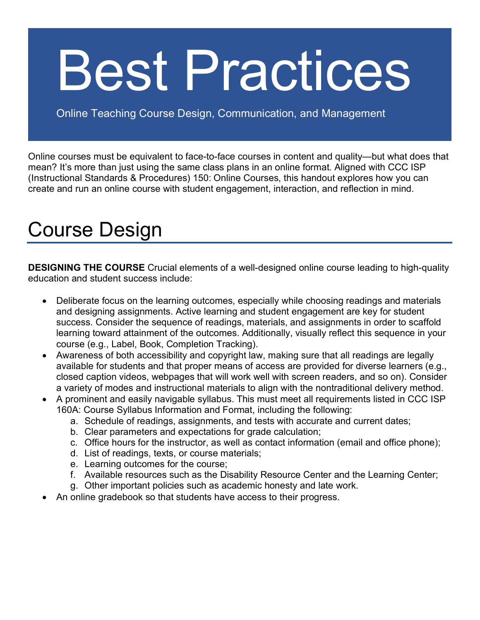## Best Practices

Online Teaching Course Design, Communication, and Management

Online courses must be equivalent to face-to-face courses in content and quality—but what does that mean? It's more than just using the same class plans in an online format. Aligned with CCC ISP (Instructional Standards & Procedures) 150: Online Courses, this handout explores how you can create and run an online course with student engagement, interaction, and reflection in mind.

## Course Design

**DESIGNING THE COURSE** Crucial elements of a well-designed online course leading to high-quality education and student success include:

- Deliberate focus on the learning outcomes, especially while choosing readings and materials and designing assignments. Active learning and student engagement are key for student success. Consider the sequence of readings, materials, and assignments in order to scaffold learning toward attainment of the outcomes. Additionally, visually reflect this sequence in your course (e.g., Label, Book, Completion Tracking).
- Awareness of both accessibility and copyright law, making sure that all readings are legally available for students and that proper means of access are provided for diverse learners (e.g., closed caption videos, webpages that will work well with screen readers, and so on). Consider a variety of modes and instructional materials to align with the nontraditional delivery method.
- A prominent and easily navigable syllabus. This must meet all requirements listed in CCC ISP 160A: Course Syllabus Information and Format, including the following:
	- a. Schedule of readings, assignments, and tests with accurate and current dates;
	- b. Clear parameters and expectations for grade calculation;
	- c. Office hours for the instructor, as well as contact information (email and office phone);
	- d. List of readings, texts, or course materials;
	- e. Learning outcomes for the course;
	- f. Available resources such as the Disability Resource Center and the Learning Center;
	- g. Other important policies such as academic honesty and late work.
- An online gradebook so that students have access to their progress.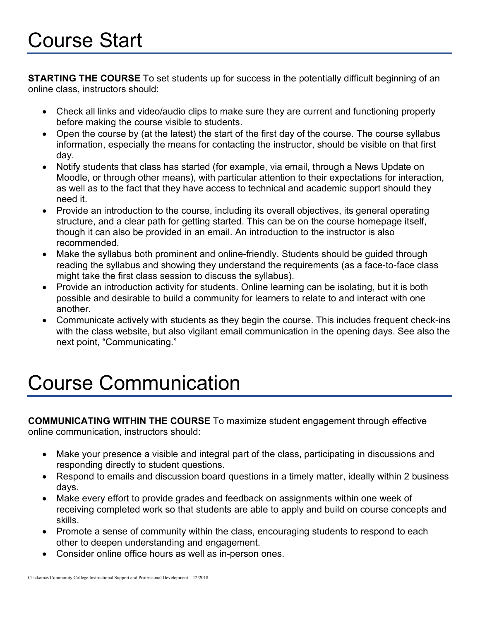**STARTING THE COURSE** To set students up for success in the potentially difficult beginning of an online class, instructors should:

- Check all links and video/audio clips to make sure they are current and functioning properly before making the course visible to students.
- Open the course by (at the latest) the start of the first day of the course. The course syllabus information, especially the means for contacting the instructor, should be visible on that first day.
- Notify students that class has started (for example, via email, through a News Update on Moodle, or through other means), with particular attention to their expectations for interaction, as well as to the fact that they have access to technical and academic support should they need it.
- Provide an introduction to the course, including its overall objectives, its general operating structure, and a clear path for getting started. This can be on the course homepage itself, though it can also be provided in an email. An introduction to the instructor is also recommended.
- Make the syllabus both prominent and online-friendly. Students should be guided through reading the syllabus and showing they understand the requirements (as a face-to-face class might take the first class session to discuss the syllabus).
- Provide an introduction activity for students. Online learning can be isolating, but it is both possible and desirable to build a community for learners to relate to and interact with one another.
- Communicate actively with students as they begin the course. This includes frequent check-ins with the class website, but also vigilant email communication in the opening days. See also the next point, "Communicating."

## Course Communication

**COMMUNICATING WITHIN THE COURSE** To maximize student engagement through effective online communication, instructors should:

- Make your presence a visible and integral part of the class, participating in discussions and responding directly to student questions.
- Respond to emails and discussion board questions in a timely matter, ideally within 2 business days.
- Make every effort to provide grades and feedback on assignments within one week of receiving completed work so that students are able to apply and build on course concepts and skills.
- Promote a sense of community within the class, encouraging students to respond to each other to deepen understanding and engagement.
- Consider online office hours as well as in-person ones.